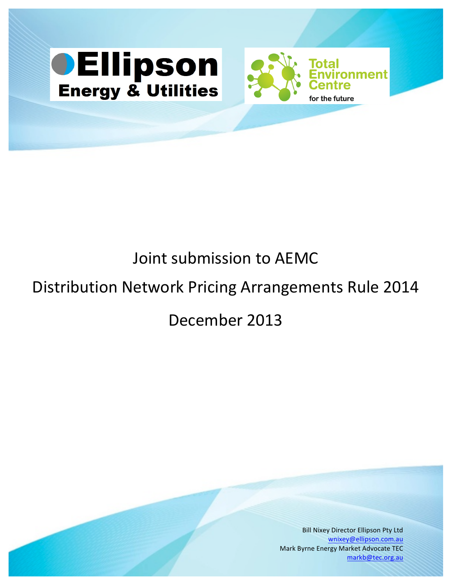



# Joint submission to AEMC

## Distribution Network Pricing Arrangements Rule 2014

## December 2013

**Bill Nixey Director Ellipson Pty Ltd** wnixey@ellipson.com.au Mark Byrne Energy Market Advocate TEC markb@tec.org.au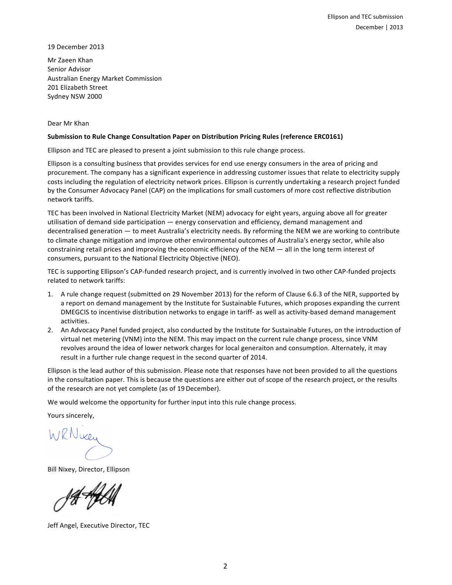19 December 2013

Mr Zaeen Khan Senior Advisor Australian Energy Market Commission 201 Elizabeth Street Sydney NSW 2000

#### Dear Mr Khan

#### **Submission to Rule Change Consultation Paper on Distribution Pricing Rules (reference ERC0161)**

Ellipson and TEC are pleased to present a joint submission to this rule change process.

Ellipson is a consulting business that provides services for end use energy consumers in the area of pricing and procurement. The company has a significant experience in addressing customer issues that relate to electricity supply costs including the regulation of electricity network prices. Ellipson is currently undertaking a research project funded by the Consumer Advocacy Panel (CAP) on the implications for small customers of more cost reflective distribution network tariffs.

TEC has been involved in National Electricity Market (NEM) advocacy for eight years, arguing above all for greater utilisation of demand side participation — energy conservation and efficiency, demand management and decentralised generation — to meet Australia's electricity needs. By reforming the NEM we are working to contribute to climate change mitigation and improve other environmental outcomes of Australia's energy sector, while also constraining retail prices and improving the economic efficiency of the NEM — all in the long term interest of consumers, pursuant to the National Electricity Objective (NEO).

TEC is supporting Ellipson's CAP-funded research project, and is currently involved in two other CAP-funded projects related to network tariffs:

- 1. A rule change request (submitted on 29 November 2013) for the reform of Clause 6.6.3 of the NER, supported by a report on demand management by the Institute for Sustainable Futures, which proposes expanding the current DMEGCIS to incentivise distribution networks to engage in tariff- as well as activity-based demand management activities.
- 2. An Advocacy Panel funded project, also conducted by the Institute for Sustainable Futures, on the introduction of virtual net metering (VNM) into the NEM. This may impact on the current rule change process, since VNM revolves around the idea of lower network charges for local generaiton and consumption. Alternately, it may result in a further rule change request in the second quarter of 2014.

Ellipson is the lead author of this submission. Please note that responses have not been provided to all the questions in the consultation paper. This is because the questions are either out of scope of the research project, or the results of the research are not yet complete (as of 19 December).

We would welcome the opportunity for further input into this rule change process.

Yours sincerely,

WRNwey

Bill Nixey, Director, Ellipson

14<del>1/</del>

Jeff Angel, Executive Director, TEC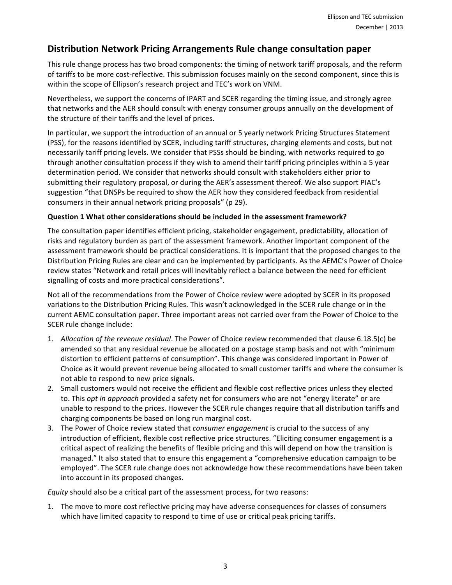### **Distribution Network Pricing Arrangements Rule change consultation paper**

This rule change process has two broad components: the timing of network tariff proposals, and the reform of tariffs to be more cost-reflective. This submission focuses mainly on the second component, since this is within the scope of Ellipson's research project and TEC's work on VNM.

Nevertheless, we support the concerns of IPART and SCER regarding the timing issue, and strongly agree that networks and the AER should consult with energy consumer groups annually on the development of the structure of their tariffs and the level of prices.

In particular, we support the introduction of an annual or 5 yearly network Pricing Structures Statement (PSS), for the reasons identified by SCER, including tariff structures, charging elements and costs, but not necessarily tariff pricing levels. We consider that PSSs should be binding, with networks required to go through another consultation process if they wish to amend their tariff pricing principles within a 5 year determination period. We consider that networks should consult with stakeholders either prior to submitting their regulatory proposal, or during the AER's assessment thereof. We also support PIAC's suggestion "that DNSPs be required to show the AER how they considered feedback from residential consumers in their annual network pricing proposals" (p 29).

#### **Question 1 What other considerations should be included in the assessment framework?**

The consultation paper identifies efficient pricing, stakeholder engagement, predictability, allocation of risks and regulatory burden as part of the assessment framework. Another important component of the assessment framework should be practical considerations. It is important that the proposed changes to the Distribution Pricing Rules are clear and can be implemented by participants. As the AEMC's Power of Choice review states "Network and retail prices will inevitably reflect a balance between the need for efficient signalling of costs and more practical considerations".

Not all of the recommendations from the Power of Choice review were adopted by SCER in its proposed variations to the Distribution Pricing Rules. This wasn't acknowledged in the SCER rule change or in the current AEMC consultation paper. Three important areas not carried over from the Power of Choice to the SCER rule change include:

- 1. Allocation of the revenue residual. The Power of Choice review recommended that clause 6.18.5(c) be amended so that any residual revenue be allocated on a postage stamp basis and not with "minimum distortion to efficient patterns of consumption". This change was considered important in Power of Choice as it would prevent revenue being allocated to small customer tariffs and where the consumer is not able to respond to new price signals.
- 2. Small customers would not receive the efficient and flexible cost reflective prices unless they elected to. This *opt in approach* provided a safety net for consumers who are not "energy literate" or are unable to respond to the prices. However the SCER rule changes require that all distribution tariffs and charging components be based on long run marginal cost.
- 3. The Power of Choice review stated that *consumer engagement* is crucial to the success of any introduction of efficient, flexible cost reflective price structures. "Eliciting consumer engagement is a critical aspect of realizing the benefits of flexible pricing and this will depend on how the transition is managed." It also stated that to ensure this engagement a "comprehensive education campaign to be employed". The SCER rule change does not acknowledge how these recommendations have been taken into account in its proposed changes.

*Equity* should also be a critical part of the assessment process, for two reasons:

1. The move to more cost reflective pricing may have adverse consequences for classes of consumers which have limited capacity to respond to time of use or critical peak pricing tariffs.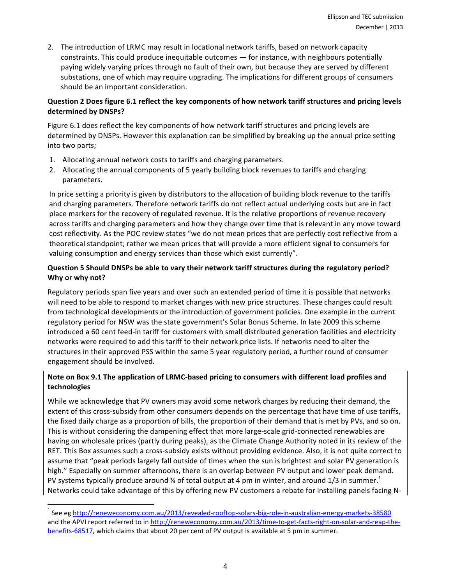2. The introduction of LRMC may result in locational network tariffs, based on network capacity constraints. This could produce inequitable outcomes — for instance, with neighbours potentially paying widely varying prices through no fault of their own, but because they are served by different substations, one of which may require upgrading. The implications for different groups of consumers should be an important consideration.

#### **Question 2 Does figure 6.1 reflect the key components of how network tariff structures and pricing levels** determined by DNSPs?

Figure 6.1 does reflect the key components of how network tariff structures and pricing levels are determined by DNSPs. However this explanation can be simplified by breaking up the annual price setting into two parts;

- 1. Allocating annual network costs to tariffs and charging parameters.
- 2. Allocating the annual components of 5 yearly building block revenues to tariffs and charging parameters.

In price setting a priority is given by distributors to the allocation of building block revenue to the tariffs and charging parameters. Therefore network tariffs do not reflect actual underlying costs but are in fact place markers for the recovery of regulated revenue. It is the relative proportions of revenue recovery across tariffs and charging parameters and how they change over time that is relevant in any move toward cost reflectivity. As the POC review states "we do not mean prices that are perfectly cost reflective from a theoretical standpoint; rather we mean prices that will provide a more efficient signal to consumers for valuing consumption and energy services than those which exist currently".

#### **Question 5 Should DNSPs be able to vary their network tariff structures during the regulatory period?** Why or why not?

Regulatory periods span five years and over such an extended period of time it is possible that networks will need to be able to respond to market changes with new price structures. These changes could result from technological developments or the introduction of government policies. One example in the current regulatory period for NSW was the state government's Solar Bonus Scheme. In late 2009 this scheme introduced a 60 cent feed-in tariff for customers with small distributed generation facilities and electricity networks were required to add this tariff to their network price lists. If networks need to alter the structures in their approved PSS within the same 5 year regulatory period, a further round of consumer engagement should be involved.

#### Note on Box 9.1 The application of LRMC-based pricing to consumers with different load profiles and **technologies**

While we acknowledge that PV owners may avoid some network charges by reducing their demand, the extent of this cross-subsidy from other consumers depends on the percentage that have time of use tariffs, the fixed daily charge as a proportion of bills, the proportion of their demand that is met by PVs, and so on. This is without considering the dampening effect that more large-scale grid-connected renewables are having on wholesale prices (partly during peaks), as the Climate Change Authority noted in its review of the RET. This Box assumes such a cross-subsidy exists without providing evidence. Also, it is not quite correct to assume that "peak periods largely fall outside of times when the sun is brightest and solar PV generation is high." Especially on summer afternoons, there is an overlap between PV output and lower peak demand. PV systems typically produce around ¼ of total output at 4 pm in winter, and around 1/3 in summer.<sup>1</sup> Networks could take advantage of this by offering new PV customers a rebate for installing panels facing N-

 

 $1$  See eg http://reneweconomy.com.au/2013/revealed-rooftop-solars-big-role-in-australian-energy-markets-38580 and the APVI report referred to in http://reneweconomy.com.au/2013/time-to-get-facts-right-on-solar-and-reap-thebenefits-68517, which claims that about 20 per cent of PV output is available at 5 pm in summer.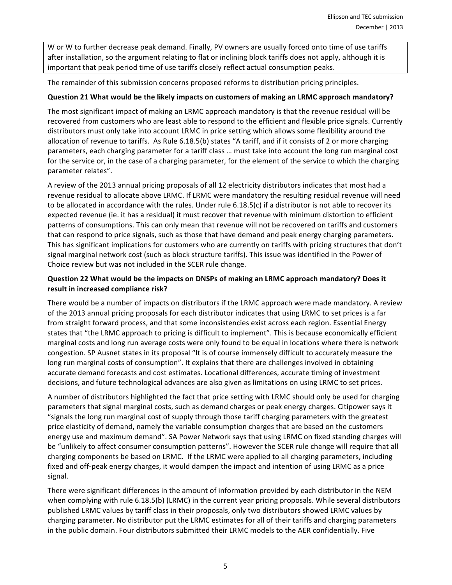W or W to further decrease peak demand. Finally, PV owners are usually forced onto time of use tariffs after installation, so the argument relating to flat or inclining block tariffs does not apply, although it is important that peak period time of use tariffs closely reflect actual consumption peaks.

The remainder of this submission concerns proposed reforms to distribution pricing principles.

#### **Question 21 What would be the likely impacts on customers of making an LRMC approach mandatory?**

The most significant impact of making an LRMC approach mandatory is that the revenue residual will be recovered from customers who are least able to respond to the efficient and flexible price signals. Currently distributors must only take into account LRMC in price setting which allows some flexibility around the allocation of revenue to tariffs. As Rule  $6.18.5(b)$  states "A tariff, and if it consists of 2 or more charging parameters, each charging parameter for a tariff class ... must take into account the long run marginal cost for the service or, in the case of a charging parameter, for the element of the service to which the charging parameter relates".

A review of the 2013 annual pricing proposals of all 12 electricity distributors indicates that most had a revenue residual to allocate above LRMC. If LRMC were mandatory the resulting residual revenue will need to be allocated in accordance with the rules. Under rule  $6.18.5(c)$  if a distributor is not able to recover its expected revenue (ie. it has a residual) it must recover that revenue with minimum distortion to efficient patterns of consumptions. This can only mean that revenue will not be recovered on tariffs and customers that can respond to price signals, such as those that have demand and peak energy charging parameters. This has significant implications for customers who are currently on tariffs with pricing structures that don't signal marginal network cost (such as block structure tariffs). This issue was identified in the Power of Choice review but was not included in the SCER rule change.

#### **Question 22 What would be the impacts on DNSPs of making an LRMC approach mandatory? Does it result in increased compliance risk?**

There would be a number of impacts on distributors if the LRMC approach were made mandatory. A review of the 2013 annual pricing proposals for each distributor indicates that using LRMC to set prices is a far from straight forward process, and that some inconsistencies exist across each region. Essential Energy states that "the LRMC approach to pricing is difficult to implement". This is because economically efficient marginal costs and long run average costs were only found to be equal in locations where there is network congestion. SP Ausnet states in its proposal "It is of course immensely difficult to accurately measure the long run marginal costs of consumption". It explains that there are challenges involved in obtaining accurate demand forecasts and cost estimates. Locational differences, accurate timing of investment decisions, and future technological advances are also given as limitations on using LRMC to set prices.

A number of distributors highlighted the fact that price setting with LRMC should only be used for charging parameters that signal marginal costs, such as demand charges or peak energy charges. Citipower says it "signals the long run marginal cost of supply through those tariff charging parameters with the greatest price elasticity of demand, namely the variable consumption charges that are based on the customers energy use and maximum demand". SA Power Network says that using LRMC on fixed standing charges will be "unlikely to affect consumer consumption patterns". However the SCER rule change will require that all charging components be based on LRMC. If the LRMC were applied to all charging parameters, including fixed and off-peak energy charges, it would dampen the impact and intention of using LRMC as a price signal. 

There were significant differences in the amount of information provided by each distributor in the NEM when complying with rule  $6.18.5(b)$  (LRMC) in the current year pricing proposals. While several distributors published LRMC values by tariff class in their proposals, only two distributors showed LRMC values by charging parameter. No distributor put the LRMC estimates for all of their tariffs and charging parameters in the public domain. Four distributors submitted their LRMC models to the AER confidentially. Five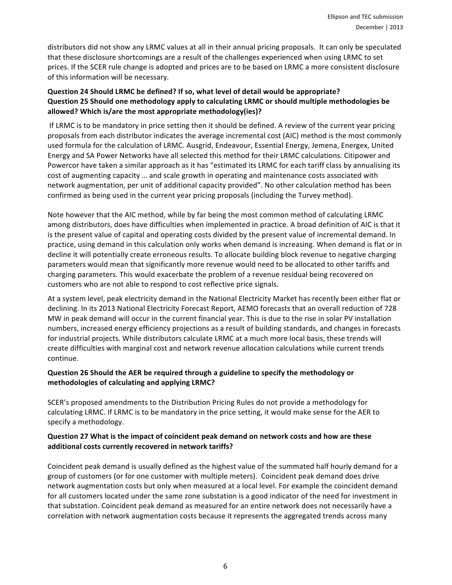distributors did not show any LRMC values at all in their annual pricing proposals. It can only be speculated that these disclosure shortcomings are a result of the challenges experienced when using LRMC to set prices. If the SCER rule change is adopted and prices are to be based on LRMC a more consistent disclosure of this information will be necessary.

### **Question 24 Should LRMC be defined? If so, what level of detail would be appropriate? Question 25 Should one methodology apply to calculating LRMC or should multiple methodologies be** allowed? Which is/are the most appropriate methodology(ies)?

If LRMC is to be mandatory in price setting then it should be defined. A review of the current year pricing proposals from each distributor indicates the average incremental cost (AIC) method is the most commonly used formula for the calculation of LRMC. Ausgrid, Endeavour, Essential Energy, Jemena, Energex, United Energy and SA Power Networks have all selected this method for their LRMC calculations. Citipower and Powercor have taken a similar approach as it has "estimated its LRMC for each tariff class by annualising its cost of augmenting capacity ... and scale growth in operating and maintenance costs associated with network augmentation, per unit of additional capacity provided". No other calculation method has been confirmed as being used in the current year pricing proposals (including the Turvey method).

Note however that the AIC method, while by far being the most common method of calculating LRMC among distributors, does have difficulties when implemented in practice. A broad definition of AIC is that it is the present value of capital and operating costs divided by the present value of incremental demand. In practice, using demand in this calculation only works when demand is increasing. When demand is flat or in decline it will potentially create erroneous results. To allocate building block revenue to negative charging parameters would mean that significantly more revenue would need to be allocated to other tariffs and charging parameters. This would exacerbate the problem of a revenue residual being recovered on customers who are not able to respond to cost reflective price signals.

At a system level, peak electricity demand in the National Electricity Market has recently been either flat or declining. In its 2013 National Electricity Forecast Report, AEMO forecasts that an overall reduction of 728 MW in peak demand will occur in the current financial year. This is due to the rise in solar PV installation numbers, increased energy efficiency projections as a result of building standards, and changes in forecasts for industrial projects. While distributors calculate LRMC at a much more local basis, these trends will create difficulties with marginal cost and network revenue allocation calculations while current trends continue. 

### **Question 26 Should the AER be required through a guideline to specify the methodology or** methodologies of calculating and applying LRMC?

SCER's proposed amendments to the Distribution Pricing Rules do not provide a methodology for calculating LRMC. If LRMC is to be mandatory in the price setting, it would make sense for the AER to specify a methodology.

### **Question 27 What is the impact of coincident peak demand on network costs and how are these** additional costs currently recovered in network tariffs?

Coincident peak demand is usually defined as the highest value of the summated half hourly demand for a group of customers (or for one customer with multiple meters). Coincident peak demand does drive network augmentation costs but only when measured at a local level. For example the coincident demand for all customers located under the same zone substation is a good indicator of the need for investment in that substation. Coincident peak demand as measured for an entire network does not necessarily have a correlation with network augmentation costs because it represents the aggregated trends across many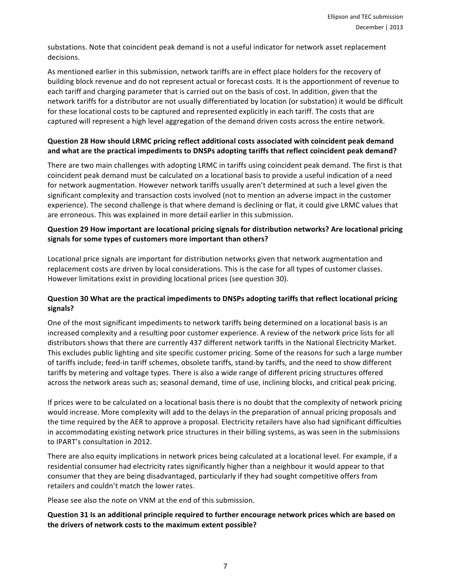substations. Note that coincident peak demand is not a useful indicator for network asset replacement decisions.

As mentioned earlier in this submission, network tariffs are in effect place holders for the recovery of building block revenue and do not represent actual or forecast costs. It is the apportionment of revenue to each tariff and charging parameter that is carried out on the basis of cost. In addition, given that the network tariffs for a distributor are not usually differentiated by location (or substation) it would be difficult for these locational costs to be captured and represented explicitly in each tariff. The costs that are captured will represent a high level aggregation of the demand driven costs across the entire network.

#### **Question 28 How should LRMC pricing reflect additional costs associated with coincident peak demand** and what are the practical impediments to DNSPs adopting tariffs that reflect coincident peak demand?

There are two main challenges with adopting LRMC in tariffs using coincident peak demand. The first is that coincident peak demand must be calculated on a locational basis to provide a useful indication of a need for network augmentation. However network tariffs usually aren't determined at such a level given the significant complexity and transaction costs involved (not to mention an adverse impact in the customer experience). The second challenge is that where demand is declining or flat, it could give LRMC values that are erroneous. This was explained in more detail earlier in this submission.

#### **Question 29 How important are locational pricing signals for distribution networks? Are locational pricing** signals for some types of customers more important than others?

Locational price signals are important for distribution networks given that network augmentation and replacement costs are driven by local considerations. This is the case for all types of customer classes. However limitations exist in providing locational prices (see question 30).

#### **Question 30 What are the practical impediments to DNSPs adopting tariffs that reflect locational pricing signals?**

One of the most significant impediments to network tariffs being determined on a locational basis is an increased complexity and a resulting poor customer experience. A review of the network price lists for all distributors shows that there are currently 437 different network tariffs in the National Electricity Market. This excludes public lighting and site specific customer pricing. Some of the reasons for such a large number of tariffs include; feed-in tariff schemes, obsolete tariffs, stand-by tariffs, and the need to show different tariffs by metering and voltage types. There is also a wide range of different pricing structures offered across the network areas such as; seasonal demand, time of use, inclining blocks, and critical peak pricing.

If prices were to be calculated on a locational basis there is no doubt that the complexity of network pricing would increase. More complexity will add to the delays in the preparation of annual pricing proposals and the time required by the AER to approve a proposal. Electricity retailers have also had significant difficulties in accommodating existing network price structures in their billing systems, as was seen in the submissions to IPART's consultation in 2012.

There are also equity implications in network prices being calculated at a locational level. For example, if a residential consumer had electricity rates significantly higher than a neighbour it would appear to that consumer that they are being disadvantaged, particularly if they had sought competitive offers from retailers and couldn't match the lower rates.

Please see also the note on VNM at the end of this submission.

#### **Question 31 Is an additional principle required to further encourage network prices which are based on** the drivers of network costs to the maximum extent possible?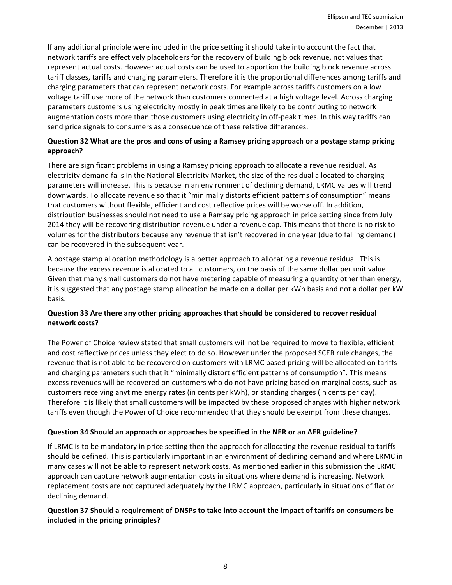If any additional principle were included in the price setting it should take into account the fact that network tariffs are effectively placeholders for the recovery of building block revenue, not values that represent actual costs. However actual costs can be used to apportion the building block revenue across tariff classes, tariffs and charging parameters. Therefore it is the proportional differences among tariffs and charging parameters that can represent network costs. For example across tariffs customers on a low voltage tariff use more of the network than customers connected at a high voltage level. Across charging parameters customers using electricity mostly in peak times are likely to be contributing to network augmentation costs more than those customers using electricity in off-peak times. In this way tariffs can send price signals to consumers as a consequence of these relative differences.

#### **Question 32 What are the pros and cons of using a Ramsey pricing approach or a postage stamp pricing approach?**

There are significant problems in using a Ramsey pricing approach to allocate a revenue residual. As electricity demand falls in the National Electricity Market, the size of the residual allocated to charging parameters will increase. This is because in an environment of declining demand, LRMC values will trend downwards. To allocate revenue so that it "minimally distorts efficient patterns of consumption" means that customers without flexible, efficient and cost reflective prices will be worse off. In addition, distribution businesses should not need to use a Ramsay pricing approach in price setting since from July 2014 they will be recovering distribution revenue under a revenue cap. This means that there is no risk to volumes for the distributors because any revenue that isn't recovered in one year (due to falling demand) can be recovered in the subsequent year.

A postage stamp allocation methodology is a better approach to allocating a revenue residual. This is because the excess revenue is allocated to all customers, on the basis of the same dollar per unit value. Given that many small customers do not have metering capable of measuring a quantity other than energy, it is suggested that any postage stamp allocation be made on a dollar per kWh basis and not a dollar per kW basis.

### **Question 33 Are there any other pricing approaches that should be considered to recover residual network costs?**

The Power of Choice review stated that small customers will not be required to move to flexible, efficient and cost reflective prices unless they elect to do so. However under the proposed SCER rule changes, the revenue that is not able to be recovered on customers with LRMC based pricing will be allocated on tariffs and charging parameters such that it "minimally distort efficient patterns of consumption". This means excess revenues will be recovered on customers who do not have pricing based on marginal costs, such as customers receiving anytime energy rates (in cents per kWh), or standing charges (in cents per day). Therefore it is likely that small customers will be impacted by these proposed changes with higher network tariffs even though the Power of Choice recommended that they should be exempt from these changes.

#### **Question 34 Should an approach or approaches be specified in the NER or an AER guideline?**

If LRMC is to be mandatory in price setting then the approach for allocating the revenue residual to tariffs should be defined. This is particularly important in an environment of declining demand and where LRMC in many cases will not be able to represent network costs. As mentioned earlier in this submission the LRMC approach can capture network augmentation costs in situations where demand is increasing. Network replacement costs are not captured adequately by the LRMC approach, particularly in situations of flat or declining demand.

#### **Question 37 Should a requirement of DNSPs to take into account the impact of tariffs on consumers be included in the pricing principles?**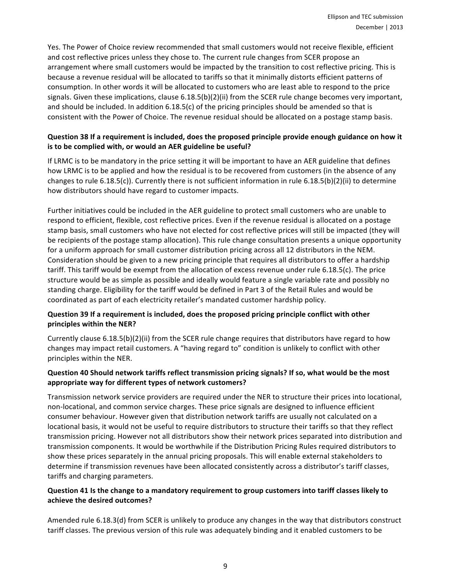Yes. The Power of Choice review recommended that small customers would not receive flexible, efficient and cost reflective prices unless they chose to. The current rule changes from SCER propose an arrangement where small customers would be impacted by the transition to cost reflective pricing. This is because a revenue residual will be allocated to tariffs so that it minimally distorts efficient patterns of consumption. In other words it will be allocated to customers who are least able to respond to the price signals. Given these implications, clause  $6.18.5(b)(2)(ii)$  from the SCER rule change becomes very important, and should be included. In addition  $6.18.5(c)$  of the pricing principles should be amended so that is consistent with the Power of Choice. The revenue residual should be allocated on a postage stamp basis.

#### **Question 38 If a requirement is included, does the proposed principle provide enough guidance on how it** is to be complied with, or would an AER guideline be useful?

If LRMC is to be mandatory in the price setting it will be important to have an AER guideline that defines how LRMC is to be applied and how the residual is to be recovered from customers (in the absence of any changes to rule  $6.18.5(c)$ ). Currently there is not sufficient information in rule  $6.18.5(b)(2)(ii)$  to determine how distributors should have regard to customer impacts.

Further initiatives could be included in the AER guideline to protect small customers who are unable to respond to efficient, flexible, cost reflective prices. Even if the revenue residual is allocated on a postage stamp basis, small customers who have not elected for cost reflective prices will still be impacted (they will be recipients of the postage stamp allocation). This rule change consultation presents a unique opportunity for a uniform approach for small customer distribution pricing across all 12 distributors in the NEM. Consideration should be given to a new pricing principle that requires all distributors to offer a hardship tariff. This tariff would be exempt from the allocation of excess revenue under rule  $6.18.5(c)$ . The price structure would be as simple as possible and ideally would feature a single variable rate and possibly no standing charge. Eligibility for the tariff would be defined in Part 3 of the Retail Rules and would be coordinated as part of each electricity retailer's mandated customer hardship policy.

### **Question 39 If a requirement is included, does the proposed pricing principle conflict with other principles within the NER?**

Currently clause  $6.18.5(b)(2)(ii)$  from the SCER rule change requires that distributors have regard to how changes may impact retail customers. A "having regard to" condition is unlikely to conflict with other principles within the NER.

#### **Question 40 Should network tariffs reflect transmission pricing signals? If so, what would be the most appropriate way for different types of network customers?**

Transmission network service providers are required under the NER to structure their prices into locational, non-locational, and common service charges. These price signals are designed to influence efficient consumer behaviour. However given that distribution network tariffs are usually not calculated on a locational basis, it would not be useful to require distributors to structure their tariffs so that they reflect transmission pricing. However not all distributors show their network prices separated into distribution and transmission components. It would be worthwhile if the Distribution Pricing Rules required distributors to show these prices separately in the annual pricing proposals. This will enable external stakeholders to determine if transmission revenues have been allocated consistently across a distributor's tariff classes, tariffs and charging parameters.

#### **Question 41** Is the change to a mandatory requirement to group customers into tariff classes likely to **achieve the desired outcomes?**

Amended rule 6.18.3(d) from SCER is unlikely to produce any changes in the way that distributors construct tariff classes. The previous version of this rule was adequately binding and it enabled customers to be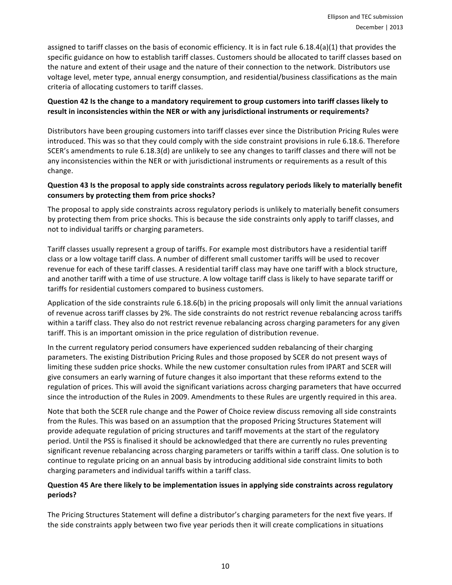assigned to tariff classes on the basis of economic efficiency. It is in fact rule  $6.18.4(a)(1)$  that provides the specific guidance on how to establish tariff classes. Customers should be allocated to tariff classes based on the nature and extent of their usage and the nature of their connection to the network. Distributors use voltage level, meter type, annual energy consumption, and residential/business classifications as the main criteria of allocating customers to tariff classes.

#### **Question 42 Is the change to a mandatory requirement to group customers into tariff classes likely to** result in inconsistencies within the NER or with any jurisdictional instruments or requirements?

Distributors have been grouping customers into tariff classes ever since the Distribution Pricing Rules were introduced. This was so that they could comply with the side constraint provisions in rule 6.18.6. Therefore SCER's amendments to rule 6.18.3(d) are unlikely to see any changes to tariff classes and there will not be any inconsistencies within the NER or with jurisdictional instruments or requirements as a result of this change. 

### **Question 43** Is the proposal to apply side constraints across regulatory periods likely to materially benefit consumers by protecting them from price shocks?

The proposal to apply side constraints across regulatory periods is unlikely to materially benefit consumers by protecting them from price shocks. This is because the side constraints only apply to tariff classes, and not to individual tariffs or charging parameters.

Tariff classes usually represent a group of tariffs. For example most distributors have a residential tariff class or a low voltage tariff class. A number of different small customer tariffs will be used to recover revenue for each of these tariff classes. A residential tariff class may have one tariff with a block structure, and another tariff with a time of use structure. A low voltage tariff class is likely to have separate tariff or tariffs for residential customers compared to business customers.

Application of the side constraints rule  $6.18.6(b)$  in the pricing proposals will only limit the annual variations of revenue across tariff classes by 2%. The side constraints do not restrict revenue rebalancing across tariffs within a tariff class. They also do not restrict revenue rebalancing across charging parameters for any given tariff. This is an important omission in the price regulation of distribution revenue.

In the current regulatory period consumers have experienced sudden rebalancing of their charging parameters. The existing Distribution Pricing Rules and those proposed by SCER do not present ways of limiting these sudden price shocks. While the new customer consultation rules from IPART and SCER will give consumers an early warning of future changes it also important that these reforms extend to the regulation of prices. This will avoid the significant variations across charging parameters that have occurred since the introduction of the Rules in 2009. Amendments to these Rules are urgently required in this area.

Note that both the SCER rule change and the Power of Choice review discuss removing all side constraints from the Rules. This was based on an assumption that the proposed Pricing Structures Statement will provide adequate regulation of pricing structures and tariff movements at the start of the regulatory period. Until the PSS is finalised it should be acknowledged that there are currently no rules preventing significant revenue rebalancing across charging parameters or tariffs within a tariff class. One solution is to continue to regulate pricing on an annual basis by introducing additional side constraint limits to both charging parameters and individual tariffs within a tariff class.

### **Question 45 Are there likely to be implementation issues in applying side constraints across regulatory periods?**

The Pricing Structures Statement will define a distributor's charging parameters for the next five years. If the side constraints apply between two five year periods then it will create complications in situations